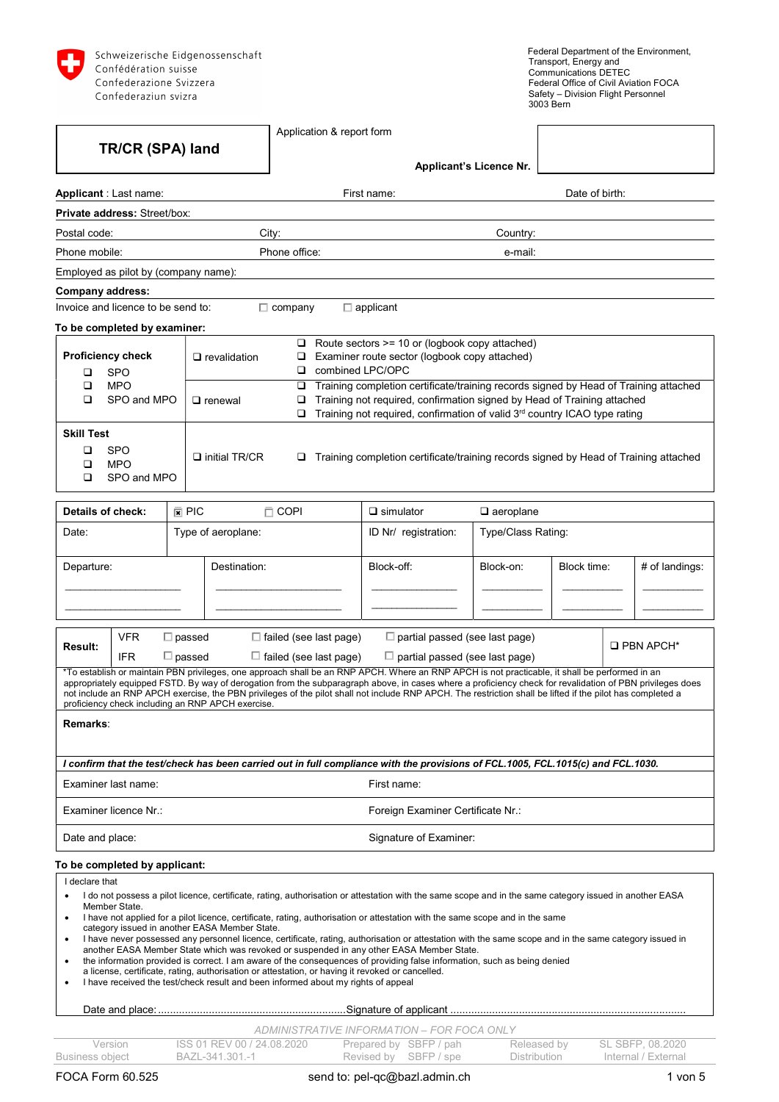

|                                                                                                       | TR/CR (SPA) land                        |                                |                                                                                                                                    |                                                                                      | Application & report form                                                                                                                                                                                          |                                                                                                                                                                                                                                                                                                                                                                                                                                                                                                                                                                                                                                                                                                                                                                                |                         |                    |  |                     |  |  |  |
|-------------------------------------------------------------------------------------------------------|-----------------------------------------|--------------------------------|------------------------------------------------------------------------------------------------------------------------------------|--------------------------------------------------------------------------------------|--------------------------------------------------------------------------------------------------------------------------------------------------------------------------------------------------------------------|--------------------------------------------------------------------------------------------------------------------------------------------------------------------------------------------------------------------------------------------------------------------------------------------------------------------------------------------------------------------------------------------------------------------------------------------------------------------------------------------------------------------------------------------------------------------------------------------------------------------------------------------------------------------------------------------------------------------------------------------------------------------------------|-------------------------|--------------------|--|---------------------|--|--|--|
|                                                                                                       |                                         |                                |                                                                                                                                    |                                                                                      |                                                                                                                                                                                                                    |                                                                                                                                                                                                                                                                                                                                                                                                                                                                                                                                                                                                                                                                                                                                                                                | Applicant's Licence Nr. |                    |  |                     |  |  |  |
|                                                                                                       | Applicant: Last name:                   |                                |                                                                                                                                    |                                                                                      |                                                                                                                                                                                                                    | First name:                                                                                                                                                                                                                                                                                                                                                                                                                                                                                                                                                                                                                                                                                                                                                                    |                         | Date of birth:     |  |                     |  |  |  |
|                                                                                                       | <b>Private address: Street/box:</b>     |                                |                                                                                                                                    |                                                                                      |                                                                                                                                                                                                                    |                                                                                                                                                                                                                                                                                                                                                                                                                                                                                                                                                                                                                                                                                                                                                                                |                         |                    |  |                     |  |  |  |
| Postal code:                                                                                          |                                         |                                |                                                                                                                                    | City:                                                                                |                                                                                                                                                                                                                    |                                                                                                                                                                                                                                                                                                                                                                                                                                                                                                                                                                                                                                                                                                                                                                                | Country:                |                    |  |                     |  |  |  |
| Phone mobile:                                                                                         |                                         |                                |                                                                                                                                    | Phone office:                                                                        |                                                                                                                                                                                                                    |                                                                                                                                                                                                                                                                                                                                                                                                                                                                                                                                                                                                                                                                                                                                                                                | e-mail:                 |                    |  |                     |  |  |  |
|                                                                                                       | Employed as pilot by (company name):    |                                |                                                                                                                                    |                                                                                      |                                                                                                                                                                                                                    |                                                                                                                                                                                                                                                                                                                                                                                                                                                                                                                                                                                                                                                                                                                                                                                |                         |                    |  |                     |  |  |  |
| Company address:                                                                                      |                                         |                                |                                                                                                                                    |                                                                                      |                                                                                                                                                                                                                    |                                                                                                                                                                                                                                                                                                                                                                                                                                                                                                                                                                                                                                                                                                                                                                                |                         |                    |  |                     |  |  |  |
|                                                                                                       | Invoice and licence to be send to:      |                                |                                                                                                                                    | $\Box$ company                                                                       |                                                                                                                                                                                                                    | $\Box$ applicant                                                                                                                                                                                                                                                                                                                                                                                                                                                                                                                                                                                                                                                                                                                                                               |                         |                    |  |                     |  |  |  |
|                                                                                                       | To be completed by examiner:            |                                |                                                                                                                                    |                                                                                      |                                                                                                                                                                                                                    |                                                                                                                                                                                                                                                                                                                                                                                                                                                                                                                                                                                                                                                                                                                                                                                |                         |                    |  |                     |  |  |  |
| <b>Proficiency check</b><br>o.<br>$\Box$ revalidation<br>□<br><b>SPO</b><br>❏<br><b>MPO</b><br>□<br>❏ |                                         |                                |                                                                                                                                    |                                                                                      | $\Box$ Route sectors >= 10 or (logbook copy attached)<br>Examiner route sector (logbook copy attached)<br>combined LPC/OPC<br>Training completion certificate/training records signed by Head of Training attached |                                                                                                                                                                                                                                                                                                                                                                                                                                                                                                                                                                                                                                                                                                                                                                                |                         |                    |  |                     |  |  |  |
| ◻                                                                                                     | SPO and MPO                             |                                | $\Box$ renewal                                                                                                                     | ❏<br>□                                                                               |                                                                                                                                                                                                                    | Training not required, confirmation signed by Head of Training attached<br>Training not required, confirmation of valid 3rd country ICAO type rating                                                                                                                                                                                                                                                                                                                                                                                                                                                                                                                                                                                                                           |                         |                    |  |                     |  |  |  |
| <b>Skill Test</b><br>◻<br>□<br>□                                                                      | <b>SPO</b><br><b>MPO</b><br>SPO and MPO |                                | $\Box$ initial TR/CR                                                                                                               | Training completion certificate/training records signed by Head of Training attached |                                                                                                                                                                                                                    |                                                                                                                                                                                                                                                                                                                                                                                                                                                                                                                                                                                                                                                                                                                                                                                |                         |                    |  |                     |  |  |  |
| Details of check:                                                                                     |                                         | $\mathbb{F}$ PIC               |                                                                                                                                    | $\Box$ COPI                                                                          |                                                                                                                                                                                                                    | $\square$ simulator                                                                                                                                                                                                                                                                                                                                                                                                                                                                                                                                                                                                                                                                                                                                                            | $\Box$ aeroplane        |                    |  |                     |  |  |  |
| Date:                                                                                                 |                                         |                                | Type of aeroplane:                                                                                                                 |                                                                                      |                                                                                                                                                                                                                    | ID Nr/ registration:                                                                                                                                                                                                                                                                                                                                                                                                                                                                                                                                                                                                                                                                                                                                                           |                         | Type/Class Rating: |  |                     |  |  |  |
| Departure:                                                                                            |                                         |                                | Destination:                                                                                                                       |                                                                                      |                                                                                                                                                                                                                    | Block-off:                                                                                                                                                                                                                                                                                                                                                                                                                                                                                                                                                                                                                                                                                                                                                                     | Block-on:               | Block time:        |  | # of landings:      |  |  |  |
| <b>Result:</b>                                                                                        | <b>VFR</b><br><b>IFR</b>                | $\Box$ passed<br>$\Box$ passed |                                                                                                                                    |                                                                                      | $\Box$ failed (see last page)<br>$\Box$ failed (see last page)                                                                                                                                                     | $\Box$ partial passed (see last page)<br>$\Box$ partial passed (see last page)                                                                                                                                                                                                                                                                                                                                                                                                                                                                                                                                                                                                                                                                                                 |                         |                    |  | $\square$ PBN APCH* |  |  |  |
|                                                                                                       |                                         |                                | proficiency check including an RNP APCH exercise.                                                                                  |                                                                                      |                                                                                                                                                                                                                    | *To establish or maintain PBN privileges, one approach shall be an RNP APCH. Where an RNP APCH is not practicable, it shall be performed in an<br>appropriately equipped FSTD. By way of derogation from the subparagraph above, in cases where a proficiency check for revalidation of PBN privileges does<br>not include an RNP APCH exercise, the PBN privileges of the pilot shall not include RNP APCH. The restriction shall be lifted if the pilot has completed a                                                                                                                                                                                                                                                                                                      |                         |                    |  |                     |  |  |  |
| Remarks:                                                                                              |                                         |                                |                                                                                                                                    |                                                                                      |                                                                                                                                                                                                                    |                                                                                                                                                                                                                                                                                                                                                                                                                                                                                                                                                                                                                                                                                                                                                                                |                         |                    |  |                     |  |  |  |
|                                                                                                       |                                         |                                |                                                                                                                                    |                                                                                      |                                                                                                                                                                                                                    | I confirm that the test/check has been carried out in full compliance with the provisions of FCL.1005, FCL.1015(c) and FCL.1030.                                                                                                                                                                                                                                                                                                                                                                                                                                                                                                                                                                                                                                               |                         |                    |  |                     |  |  |  |
|                                                                                                       | Examiner last name:                     |                                |                                                                                                                                    |                                                                                      |                                                                                                                                                                                                                    | First name:                                                                                                                                                                                                                                                                                                                                                                                                                                                                                                                                                                                                                                                                                                                                                                    |                         |                    |  |                     |  |  |  |
|                                                                                                       | Examiner licence Nr.:                   |                                |                                                                                                                                    |                                                                                      |                                                                                                                                                                                                                    | Foreign Examiner Certificate Nr.:                                                                                                                                                                                                                                                                                                                                                                                                                                                                                                                                                                                                                                                                                                                                              |                         |                    |  |                     |  |  |  |
| Date and place:                                                                                       |                                         |                                |                                                                                                                                    |                                                                                      |                                                                                                                                                                                                                    | Signature of Examiner:                                                                                                                                                                                                                                                                                                                                                                                                                                                                                                                                                                                                                                                                                                                                                         |                         |                    |  |                     |  |  |  |
|                                                                                                       | To be completed by applicant:           |                                |                                                                                                                                    |                                                                                      |                                                                                                                                                                                                                    |                                                                                                                                                                                                                                                                                                                                                                                                                                                                                                                                                                                                                                                                                                                                                                                |                         |                    |  |                     |  |  |  |
| I declare that<br>$\bullet$<br>$\bullet$<br>٠<br>$\bullet$<br>$\bullet$                               | Member State.                           |                                | category issued in another EASA Member State.<br>I have received the test/check result and been informed about my rights of appeal |                                                                                      |                                                                                                                                                                                                                    | I do not possess a pilot licence, certificate, rating, authorisation or attestation with the same scope and in the same category issued in another EASA<br>I have not applied for a pilot licence, certificate, rating, authorisation or attestation with the same scope and in the same<br>I have never possessed any personnel licence, certificate, rating, authorisation or attestation with the same scope and in the same category issued in<br>another EASA Member State which was revoked or suspended in any other EASA Member State.<br>the information provided is correct. I am aware of the consequences of providing false information, such as being denied<br>a license, certificate, rating, authorisation or attestation, or having it revoked or cancelled. |                         |                    |  |                     |  |  |  |
|                                                                                                       |                                         |                                |                                                                                                                                    |                                                                                      |                                                                                                                                                                                                                    |                                                                                                                                                                                                                                                                                                                                                                                                                                                                                                                                                                                                                                                                                                                                                                                |                         |                    |  |                     |  |  |  |
|                                                                                                       |                                         |                                |                                                                                                                                    |                                                                                      |                                                                                                                                                                                                                    | ADMINISTRATIVE INFORMATION - FOR FOCA ONLY                                                                                                                                                                                                                                                                                                                                                                                                                                                                                                                                                                                                                                                                                                                                     |                         |                    |  |                     |  |  |  |
|                                                                                                       | Version                                 |                                | ISS 01 REV 00 / 24.08.2020                                                                                                         |                                                                                      |                                                                                                                                                                                                                    | Prepared by SBFP / pah                                                                                                                                                                                                                                                                                                                                                                                                                                                                                                                                                                                                                                                                                                                                                         | Released by             |                    |  | SL SBFP, 08.2020    |  |  |  |

Business object BAZL-341.301.-1 Revised by SBFP / spe Distribution Internal / External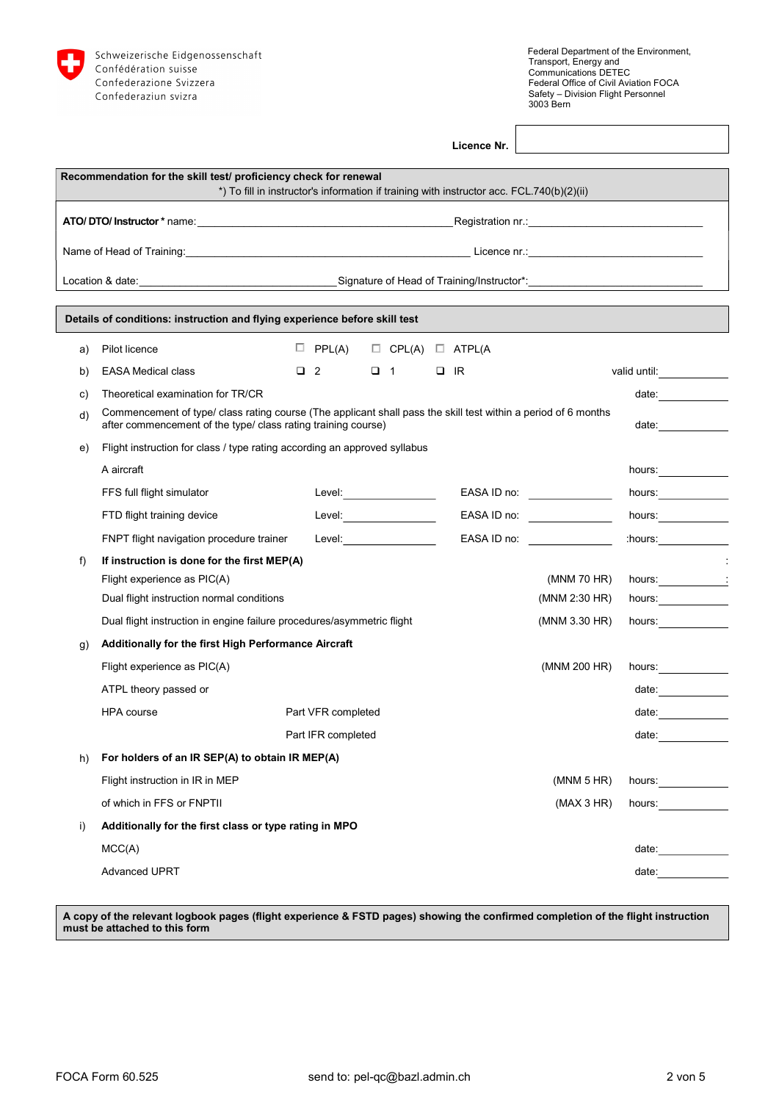

| Licence Nr. |  |
|-------------|--|
|             |  |

|    | Recommendation for the skill test/ proficiency check for renewal                                                                                                                |                                           |          |                                                                                           |                               |                                                                                                                                                                                                                                |                                                                                                                                                                                                                                |
|----|---------------------------------------------------------------------------------------------------------------------------------------------------------------------------------|-------------------------------------------|----------|-------------------------------------------------------------------------------------------|-------------------------------|--------------------------------------------------------------------------------------------------------------------------------------------------------------------------------------------------------------------------------|--------------------------------------------------------------------------------------------------------------------------------------------------------------------------------------------------------------------------------|
|    |                                                                                                                                                                                 |                                           |          | *) To fill in instructor's information if training with instructor acc. FCL.740(b)(2)(ii) |                               |                                                                                                                                                                                                                                |                                                                                                                                                                                                                                |
|    |                                                                                                                                                                                 |                                           |          |                                                                                           |                               |                                                                                                                                                                                                                                |                                                                                                                                                                                                                                |
|    |                                                                                                                                                                                 |                                           |          |                                                                                           |                               |                                                                                                                                                                                                                                |                                                                                                                                                                                                                                |
|    |                                                                                                                                                                                 |                                           |          |                                                                                           |                               |                                                                                                                                                                                                                                |                                                                                                                                                                                                                                |
|    |                                                                                                                                                                                 |                                           |          |                                                                                           |                               |                                                                                                                                                                                                                                |                                                                                                                                                                                                                                |
|    | Details of conditions: instruction and flying experience before skill test                                                                                                      |                                           |          |                                                                                           |                               |                                                                                                                                                                                                                                |                                                                                                                                                                                                                                |
| a) | Pilot licence                                                                                                                                                                   | $\Box$ PPL(A) $\Box$ CPL(A) $\Box$ ATPL(A |          |                                                                                           |                               |                                                                                                                                                                                                                                |                                                                                                                                                                                                                                |
| b) | <b>EASA Medical class</b>                                                                                                                                                       | $\Box$ 2                                  | $\Box$ 1 | $\Box$ IR                                                                                 |                               | valid until:                                                                                                                                                                                                                   |                                                                                                                                                                                                                                |
| C) | Theoretical examination for TR/CR                                                                                                                                               |                                           |          |                                                                                           |                               |                                                                                                                                                                                                                                | date: $\qquad \qquad$                                                                                                                                                                                                          |
| d) | Commencement of type/ class rating course (The applicant shall pass the skill test within a period of 6 months<br>after commencement of the type/ class rating training course) |                                           |          |                                                                                           |                               |                                                                                                                                                                                                                                | date: $\qquad \qquad$                                                                                                                                                                                                          |
| e) | Flight instruction for class / type rating according an approved syllabus                                                                                                       |                                           |          |                                                                                           |                               |                                                                                                                                                                                                                                |                                                                                                                                                                                                                                |
|    | A aircraft                                                                                                                                                                      |                                           |          |                                                                                           |                               | hours: the contract of the contract of the contract of the contract of the contract of the contract of the contract of the contract of the contract of the contract of the contract of the contract of the contract of the con |                                                                                                                                                                                                                                |
|    | FFS full flight simulator                                                                                                                                                       | Level:__________________                  |          |                                                                                           | EASA ID no: _________________ |                                                                                                                                                                                                                                |                                                                                                                                                                                                                                |
|    | FTD flight training device                                                                                                                                                      | Level: <b>Example 2019</b>                |          |                                                                                           | EASA ID no:                   | hours:                                                                                                                                                                                                                         |                                                                                                                                                                                                                                |
|    | FNPT flight navigation procedure trainer                                                                                                                                        | Level: <b>Example 2019</b>                |          |                                                                                           | EASA ID no: _________________ | : hours:                                                                                                                                                                                                                       |                                                                                                                                                                                                                                |
| f) | If instruction is done for the first MEP(A)                                                                                                                                     |                                           |          |                                                                                           |                               |                                                                                                                                                                                                                                |                                                                                                                                                                                                                                |
|    | Flight experience as PIC(A)                                                                                                                                                     |                                           |          |                                                                                           | (MNM 70 HR)                   | hours: 1                                                                                                                                                                                                                       |                                                                                                                                                                                                                                |
|    | Dual flight instruction normal conditions                                                                                                                                       |                                           |          |                                                                                           | (MNM 2:30 HR)                 | hours:                                                                                                                                                                                                                         |                                                                                                                                                                                                                                |
|    | Dual flight instruction in engine failure procedures/asymmetric flight                                                                                                          |                                           |          |                                                                                           | (MNM 3.30 HR)                 | hours:                                                                                                                                                                                                                         |                                                                                                                                                                                                                                |
| g) | Additionally for the first High Performance Aircraft                                                                                                                            |                                           |          |                                                                                           |                               |                                                                                                                                                                                                                                |                                                                                                                                                                                                                                |
|    | Flight experience as PIC(A)                                                                                                                                                     |                                           |          |                                                                                           | (MNM 200 HR)                  |                                                                                                                                                                                                                                |                                                                                                                                                                                                                                |
|    | ATPL theory passed or                                                                                                                                                           |                                           |          |                                                                                           |                               |                                                                                                                                                                                                                                | date: $\qquad \qquad$                                                                                                                                                                                                          |
|    | <b>HPA</b> course                                                                                                                                                               | Part VFR completed                        |          |                                                                                           |                               |                                                                                                                                                                                                                                |                                                                                                                                                                                                                                |
|    |                                                                                                                                                                                 | Part IFR completed                        |          |                                                                                           |                               |                                                                                                                                                                                                                                | date: ________                                                                                                                                                                                                                 |
| h) | For holders of an IR SEP(A) to obtain IR MEP(A)                                                                                                                                 |                                           |          |                                                                                           |                               |                                                                                                                                                                                                                                |                                                                                                                                                                                                                                |
|    | Flight instruction in IR in MEP                                                                                                                                                 |                                           |          |                                                                                           | (MNM 5 HR)                    | hours: <u>______</u>                                                                                                                                                                                                           |                                                                                                                                                                                                                                |
|    | of which in FFS or FNPTII                                                                                                                                                       |                                           |          |                                                                                           | (MAX 3 HR)                    | hours:                                                                                                                                                                                                                         |                                                                                                                                                                                                                                |
| i) | Additionally for the first class or type rating in MPO                                                                                                                          |                                           |          |                                                                                           |                               |                                                                                                                                                                                                                                |                                                                                                                                                                                                                                |
|    | MCC(A)                                                                                                                                                                          |                                           |          |                                                                                           |                               |                                                                                                                                                                                                                                | date: experience and all the set of the set of the set of the set of the set of the set of the set of the set of the set of the set of the set of the set of the set of the set of the set of the set of the set of the set of |
|    | <b>Advanced UPRT</b>                                                                                                                                                            |                                           |          |                                                                                           |                               | date:                                                                                                                                                                                                                          |                                                                                                                                                                                                                                |

A copy of the relevant logbook pages (flight experience & FSTD pages) showing the confirmed completion of the flight instruction must be attached to this form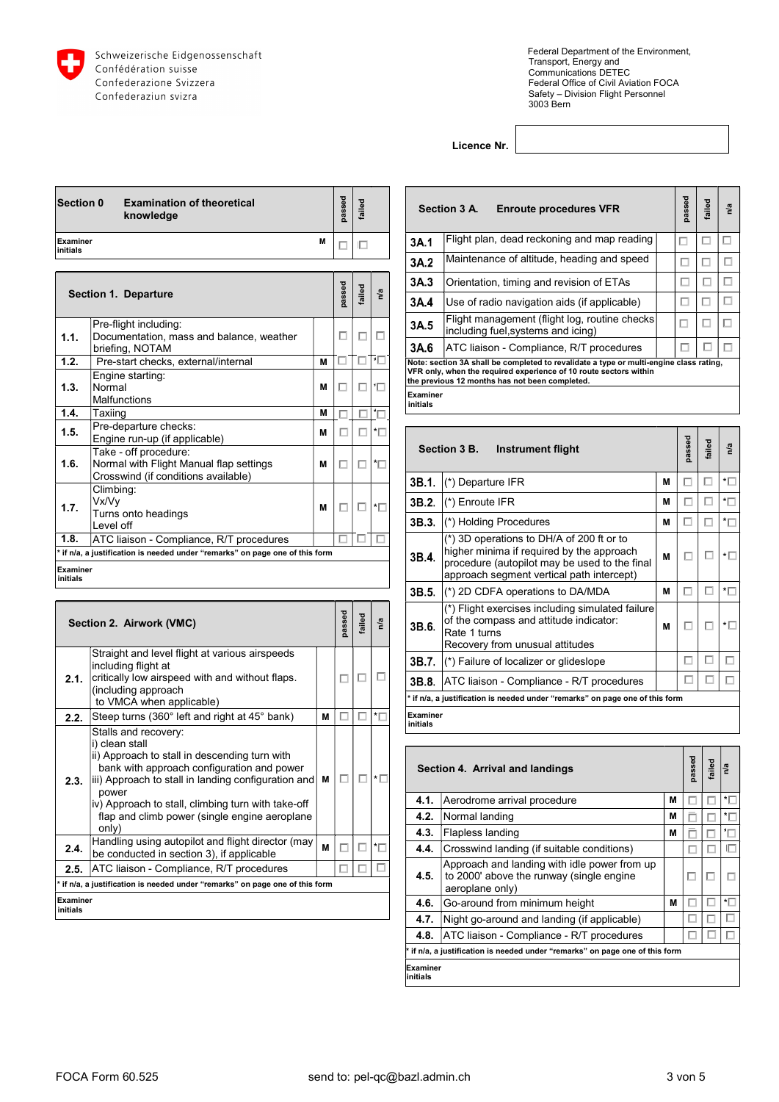

Licence Nr.

| <b>Section 0</b>            | <b>Examination of theoretical</b><br>knowledge                                                          |   | bessed | failed |                          |                             | Section 3 A.                                         | E    |
|-----------------------------|---------------------------------------------------------------------------------------------------------|---|--------|--------|--------------------------|-----------------------------|------------------------------------------------------|------|
| Examiner<br>initials        |                                                                                                         | м | □      | 旧      |                          | 3A.1                        | Flight plan,                                         |      |
|                             |                                                                                                         |   |        |        |                          | 3A.2                        | Maintenanc                                           |      |
|                             |                                                                                                         |   |        |        |                          | 3A.3                        | Orientation,                                         |      |
|                             | <b>Section 1. Departure</b>                                                                             |   | passed | failed | n/a                      | 3A.4                        | Use of radio                                         |      |
| 1.1.                        | Pre-flight including:<br>Documentation, mass and balance, weather                                       |   | п      |        | п                        | 3A.5                        | Flight mana<br>including fue                         |      |
|                             | briefing, NOTAM                                                                                         |   |        |        |                          | 3A.6                        | ATC liaison                                          |      |
| 1.2.                        | Pre-start checks, external/internal                                                                     | М |        |        | *⊡                       |                             | Note: section 3A shall be                            |      |
|                             | Engine starting:                                                                                        |   |        |        |                          |                             | VFR only, when the requi<br>the previous 12 months h |      |
| 1.3.                        | Normal<br><b>Malfunctions</b>                                                                           | м | □      |        | ۰Ē                       | <b>Examiner</b><br>initials |                                                      |      |
| 1.4.                        | Taxiinq                                                                                                 | M |        |        | ťГ                       |                             |                                                      |      |
| 1.5.                        | Pre-departure checks:<br>Engine run-up (if applicable)                                                  | м | п      |        | *□                       |                             |                                                      |      |
| 1.6.                        | Take - off procedure:<br>Normal with Flight Manual flap settings<br>Crosswind (if conditions available) | м | п      | п      | *□                       |                             | Section 3 B.                                         | - 11 |
|                             | Climbing:                                                                                               |   |        |        |                          | 3B.1.                       | (*) Departure                                        |      |
| 1.7.                        | Vx/Vv                                                                                                   | М | п      | □      | $\overline{\phantom{a}}$ | 3B.2.                       | (*) Enroute I                                        |      |
|                             | Turns onto headings<br>I evel off                                                                       |   |        |        |                          | 3B.3.                       | (*) Holding F                                        |      |
| 1.8.                        | ATC liaison - Compliance, R/T procedures                                                                |   |        |        |                          |                             | (*) 3D opera                                         |      |
| <b>Examiner</b><br>initials | * if n/a, a justification is needed under "remarks" on page one of this form                            |   |        |        |                          | 3B.4.                       | higher minin<br>procedure (a<br>approach se          |      |
|                             |                                                                                                         |   |        |        |                          |                             |                                                      |      |

|                      | Section 2. Airwork (VMC)                                                                                                                                                      |   | passed | ailed | n/a                      | 3B.6.                | $(*)$ Flight exe<br>of the compa<br>Rate 1 turns<br>Recovery fro |
|----------------------|-------------------------------------------------------------------------------------------------------------------------------------------------------------------------------|---|--------|-------|--------------------------|----------------------|------------------------------------------------------------------|
|                      | Straight and level flight at various airspeeds<br>including flight at                                                                                                         |   |        |       |                          | 3B.7.                | (*) Failure of                                                   |
| 2.1.                 | critically low airspeed with and without flaps.<br>(including approach                                                                                                        |   | П      |       | □                        | 3B.8.                | <b>ATC</b> liaison                                               |
|                      | to VMCA when applicable)                                                                                                                                                      |   |        |       |                          |                      | * if n/a, a justification is n                                   |
| 2.2.                 | Steep turns (360° left and right at 45° bank)                                                                                                                                 | M | Е      |       | $\overline{\phantom{a}}$ | Examiner<br>initials |                                                                  |
|                      | Stalls and recovery:                                                                                                                                                          |   |        |       |                          |                      |                                                                  |
| 2.3.                 | i) clean stall<br>ii) Approach to stall in descending turn with<br>bank with approach configuration and power<br>iii) Approach to stall in landing configuration and<br>power | М | □      |       | $\star \Box$             |                      | <b>Section 4. Arriva</b>                                         |
|                      | iv) Approach to stall, climbing turn with take-off                                                                                                                            |   |        |       |                          | 4.1.                 | Aerodrome a                                                      |
|                      | flap and climb power (single engine aeroplane                                                                                                                                 |   |        |       |                          | 4.2.                 | Normal land                                                      |
|                      | only)                                                                                                                                                                         |   |        |       |                          | 4.3.                 | Flapless lan                                                     |
| 2.4.                 | Handling using autopilot and flight director (may<br>be conducted in section 3), if applicable                                                                                | M | П      | П     | *□                       | 4.4.                 | Crosswind la                                                     |
| 2.5.                 | ATC liaison - Compliance, R/T procedures                                                                                                                                      |   | г      |       |                          | 4.5.                 | Approach ar<br>to 2000' abc                                      |
|                      | * if n/a, a justification is needed under "remarks" on page one of this form                                                                                                  |   |        |       |                          |                      | aeroplane o                                                      |
| Examiner<br>initials |                                                                                                                                                                               |   |        |       |                          | 4.6.                 | Go-around fi                                                     |
|                      |                                                                                                                                                                               |   |        |       |                          |                      | $\mathbf{r}$ and $\mathbf{r}$ and $\mathbf{r}$                   |

|                      | Section 3 A.<br><b>Enroute procedures VFR</b>                                                                                                                                                                 | passed | failed | n/a |
|----------------------|---------------------------------------------------------------------------------------------------------------------------------------------------------------------------------------------------------------|--------|--------|-----|
| 3A.1                 | Flight plan, dead reckoning and map reading                                                                                                                                                                   |        |        | Τ   |
| 3A.2                 | Maintenance of altitude, heading and speed                                                                                                                                                                    |        | L.     | □   |
| 3A.3                 | Orientation, timing and revision of ETAs                                                                                                                                                                      |        |        | L   |
| 3A.4                 | Use of radio navigation aids (if applicable)                                                                                                                                                                  |        | L      |     |
| 3A.5                 | Flight management (flight log, routine checks)<br>including fuel, systems and icing)                                                                                                                          |        |        | □   |
| 3A.6                 | ATC liaison - Compliance, R/T procedures                                                                                                                                                                      |        |        | г   |
|                      | Note: section 3A shall be completed to revalidate a type or multi-engine class rating,<br>VFR only, when the required experience of 10 route sectors within<br>the previous 12 months has not been completed. |        |        |     |
| Examiner<br>initials |                                                                                                                                                                                                               |        |        |     |

|                      | Section 3 B.<br>Instrument flight                                                                                                                                                    |   | bassed                   | ailed | n/a                      |  |
|----------------------|--------------------------------------------------------------------------------------------------------------------------------------------------------------------------------------|---|--------------------------|-------|--------------------------|--|
| 3B.1.                | (*) Departure IFR                                                                                                                                                                    | м | ×                        |       | *□                       |  |
| 3B.2.                | (*) Enroute IFR                                                                                                                                                                      | м | L                        |       | $\overline{\phantom{a}}$ |  |
| 3B.3.                | $\left  \right  ^{*}$ ) Holding Procedures                                                                                                                                           | м | $\overline{\phantom{a}}$ |       | *□                       |  |
| 3B.4.                | (*) 3D operations to DH/A of 200 ft or to<br>higher minima if required by the approach<br>procedure (autopilot may be used to the final<br>approach segment vertical path intercept) | м | □                        | П     | ∗⊏                       |  |
| 3B.5.                | (*) 2D CDFA operations to DA/MDA                                                                                                                                                     | м |                          | □     | ∗⊟                       |  |
| 3B.6.                | (*) Flight exercises including simulated failure<br>of the compass and attitude indicator:<br>Rate 1 turns<br>Recovery from unusual attitudes                                        | м | п                        | г     | ∗⊓                       |  |
| 3B.7.                | $\left  \left( \right. ^{\ast }\right)$ Failure of localizer or glideslope                                                                                                           |   | L                        |       | L                        |  |
| 3B.8.                | ATC liaison - Compliance - R/T procedures                                                                                                                                            |   |                          |       |                          |  |
|                      | * if n/a, a justification is needed under "remarks" on page one of this form                                                                                                         |   |                          |       |                          |  |
| Examiner<br>initials |                                                                                                                                                                                      |   |                          |       |                          |  |

|                      | Section 4. Arrival and landings                                                                             |   | passed | failed | n/a      |  |
|----------------------|-------------------------------------------------------------------------------------------------------------|---|--------|--------|----------|--|
| 4.1.                 | Aerodrome arrival procedure                                                                                 | M |        |        | $^\star$ |  |
| 4.2.                 | Normal landing                                                                                              | M |        |        | $\star$  |  |
| 4.3.                 | Flapless landing                                                                                            | М |        |        |          |  |
| 4.4.                 | Crosswind landing (if suitable conditions)                                                                  |   |        |        |          |  |
| 4.5.                 | Approach and landing with idle power from up<br>to 2000' above the runway (single engine<br>aeroplane only) |   | Е      |        |          |  |
| 4.6.                 | Go-around from minimum height                                                                               | М |        |        | ∗Г       |  |
| 4.7.                 | Night go-around and landing (if applicable)                                                                 |   |        |        |          |  |
| 4.8.                 | ATC liaison - Compliance - R/T procedures                                                                   |   |        |        |          |  |
|                      | * if n/a, a justification is needed under "remarks" on page one of this form                                |   |        |        |          |  |
| Examiner<br>initials |                                                                                                             |   |        |        |          |  |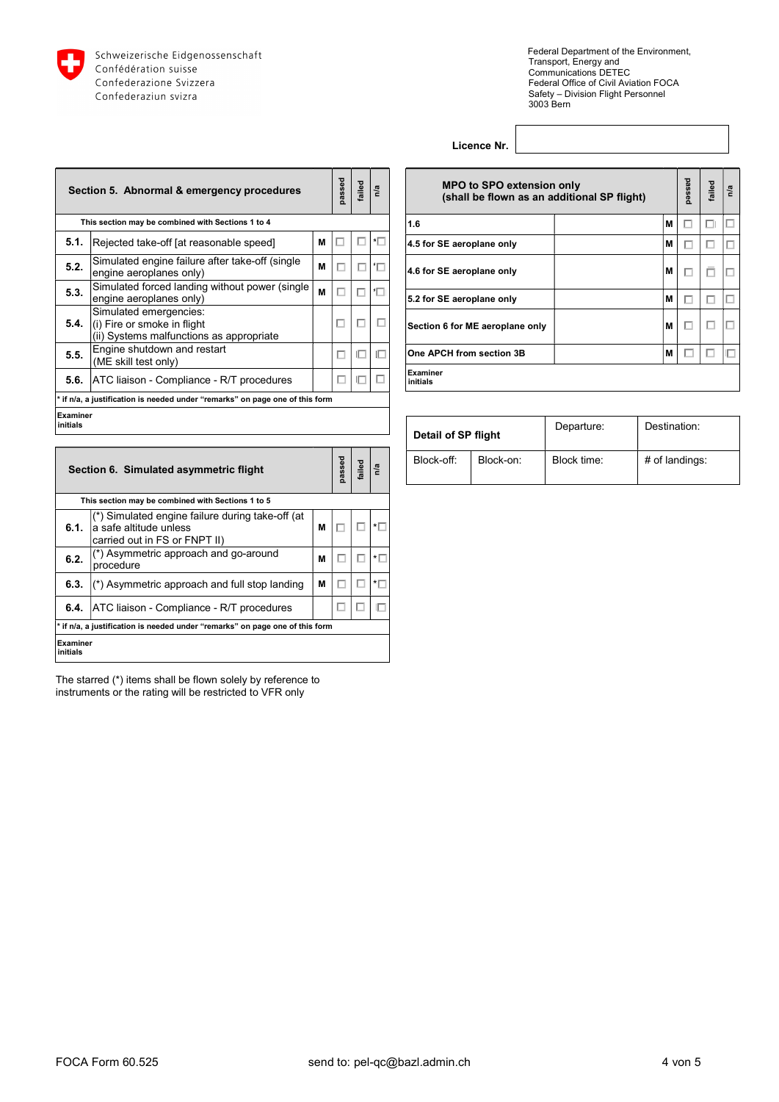

Licence Nr.

|                       | Section 5. Abnormal & emergency procedures                                                          | passed | failed | n/a | <b>MPO to SP</b><br>(shall be fic |                       |
|-----------------------|-----------------------------------------------------------------------------------------------------|--------|--------|-----|-----------------------------------|-----------------------|
|                       | This section may be combined with Sections 1 to 4                                                   |        |        |     |                                   | 1.6                   |
| 5.1.                  | Rejected take-off [at reasonable speed]                                                             | M      |        |     | ∗⊏                                | 4.5 for SE aeroplane  |
| 5.2.                  | Simulated engine failure after take-off (single<br>engine aeroplanes only)                          | M      | □      | п   | 'Γ                                | 4.6 for SE aeroplane  |
| 5.3.                  | Simulated forced landing without power (single<br>engine aeroplanes only)                           | M      | □      |     | ۰Ē                                | 5.2 for SE aeroplane  |
| 5.4.                  | Simulated emergencies:<br>$(i)$ Fire or smoke in flight<br>(ii) Systems malfunctions as appropriate |        | □      |     |                                   | Section 6 for ME aero |
| 5.5.                  | Engine shutdown and restart<br>(ME skill test only)                                                 |        | □      | П   |                                   | One APCH from sect    |
| 5.6.                  | ATC liaison - Compliance - R/T procedures                                                           |        | □      |     |                                   | Examiner<br>initials  |
|                       | if n/a, a justification is needed under "remarks" on page one of this form                          |        |        |     |                                   |                       |
| Examiner<br>linitials |                                                                                                     |        |        |     |                                   |                       |

| <b>MPO to SPO extension only</b><br>(shall be flown as an additional SP flight) |  |   |  | failed | n/a |
|---------------------------------------------------------------------------------|--|---|--|--------|-----|
| 1.6                                                                             |  | M |  |        | Е   |
| 4.5 for SE aeroplane only                                                       |  | М |  |        |     |
| 4.6 for SE aeroplane only                                                       |  | М |  |        | L   |
| 5.2 for SE aeroplane only                                                       |  | М |  |        | H.  |
| Section 6 for ME aeroplane only                                                 |  | М |  |        | Е   |
| One APCH from section 3B                                                        |  | М |  |        |     |
| <b>Examiner</b><br>initials                                                     |  |   |  |        |     |

| Detail of SP flight |           | Departure:  | Destination:   |
|---------------------|-----------|-------------|----------------|
| Block-off:          | Block-on: | Block time: | # of landings: |

|                      | Section 6. Simulated asymmetric flight                                                                      |   |   |  |                          |  | Block-off: | Bloc |
|----------------------|-------------------------------------------------------------------------------------------------------------|---|---|--|--------------------------|--|------------|------|
|                      | This section may be combined with Sections 1 to 5                                                           |   |   |  |                          |  |            |      |
| 6.1.                 | (*) Simulated engine failure during take-off (at<br>a safe altitude unless<br>carried out in FS or FNPT II) | M | E |  | ∗⊟                       |  |            |      |
| 6.2.                 | (*) Asymmetric approach and go-around<br>procedure                                                          | M |   |  | ∗⊓                       |  |            |      |
| 6.3.                 | (*) Asymmetric approach and full stop landing                                                               | M |   |  | $\overline{\phantom{a}}$ |  |            |      |
| 6.4.                 | ATC liaison - Compliance - R/T procedures                                                                   |   | Е |  | Е                        |  |            |      |
|                      | * if n/a, a justification is needed under "remarks" on page one of this form                                |   |   |  |                          |  |            |      |
| Examiner<br>initials |                                                                                                             |   |   |  |                          |  |            |      |

The starred (\*) items shall be flown solely by reference to instruments or the rating will be restricted to VFR only